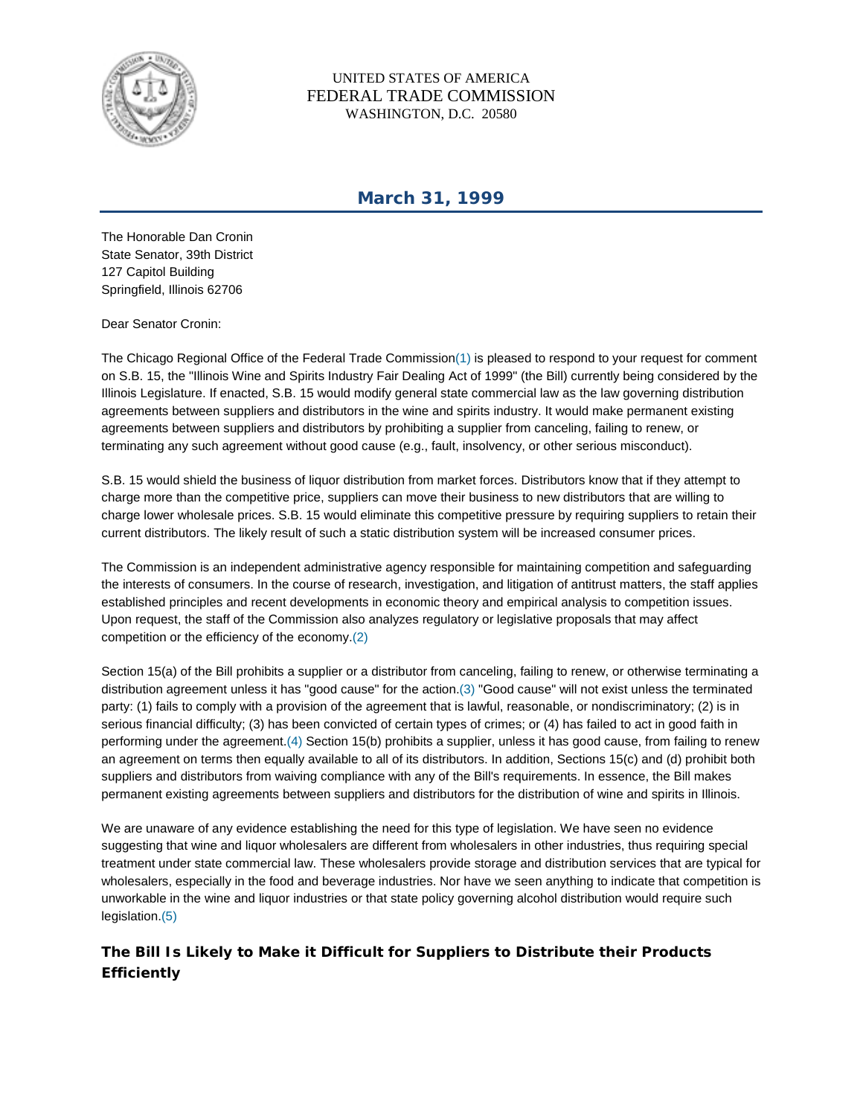

UNITED STATES OF AMERICA FEDERAL TRADE COMMISSION WASHINGTON, D.C. 20580

## **March 31, 1999**

The Honorable Dan Cronin State Senator, 39th District 127 Capitol Building Springfield, Illinois 62706

Dear Senator Cronin:

The Chicago Regional Office of the Federal Trade Commission(1) is pleased to respond to your request for comment on S.B. 15, the "Illinois Wine and Spirits Industry Fair Dealing Act of 1999" (the Bill) currently being considered by the Illinois Legislature. If enacted, S.B. 15 would modify general state commercial law as the law governing distribution agreements between suppliers and distributors in the wine and spirits industry. It would make permanent existing agreements between suppliers and distributors by prohibiting a supplier from canceling, failing to renew, or terminating any such agreement without good cause (e.g., fault, insolvency, or other serious misconduct).

S.B. 15 would shield the business of liquor distribution from market forces. Distributors know that if they attempt to charge more than the competitive price, suppliers can move their business to new distributors that are willing to charge lower wholesale prices. S.B. 15 would eliminate this competitive pressure by requiring suppliers to retain their current distributors. The likely result of such a static distribution system will be increased consumer prices.

The Commission is an independent administrative agency responsible for maintaining competition and safeguarding the interests of consumers. In the course of research, investigation, and litigation of antitrust matters, the staff applies established principles and recent developments in economic theory and empirical analysis to competition issues. Upon request, the staff of the Commission also analyzes regulatory or legislative proposals that may affect competition or the efficiency of the economy.(2)

Section 15(a) of the Bill prohibits a supplier or a distributor from canceling, failing to renew, or otherwise terminating a distribution agreement unless it has "good cause" for the action.(3) "Good cause" will not exist unless the terminated party: (1) fails to comply with a provision of the agreement that is lawful, reasonable, or nondiscriminatory; (2) is in serious financial difficulty; (3) has been convicted of certain types of crimes; or (4) has failed to act in good faith in performing under the agreement.(4) Section 15(b) prohibits a supplier, unless it has good cause, from failing to renew an agreement on terms then equally available to all of its distributors. In addition, Sections 15(c) and (d) prohibit both suppliers and distributors from waiving compliance with any of the Bill's requirements. In essence, the Bill makes permanent existing agreements between suppliers and distributors for the distribution of wine and spirits in Illinois.

We are unaware of any evidence establishing the need for this type of legislation. We have seen no evidence suggesting that wine and liquor wholesalers are different from wholesalers in other industries, thus requiring special treatment under state commercial law. These wholesalers provide storage and distribution services that are typical for wholesalers, especially in the food and beverage industries. Nor have we seen anything to indicate that competition is unworkable in the wine and liquor industries or that state policy governing alcohol distribution would require such legislation.(5)

## **The Bill Is Likely to Make it Difficult for Suppliers to Distribute their Products Efficiently**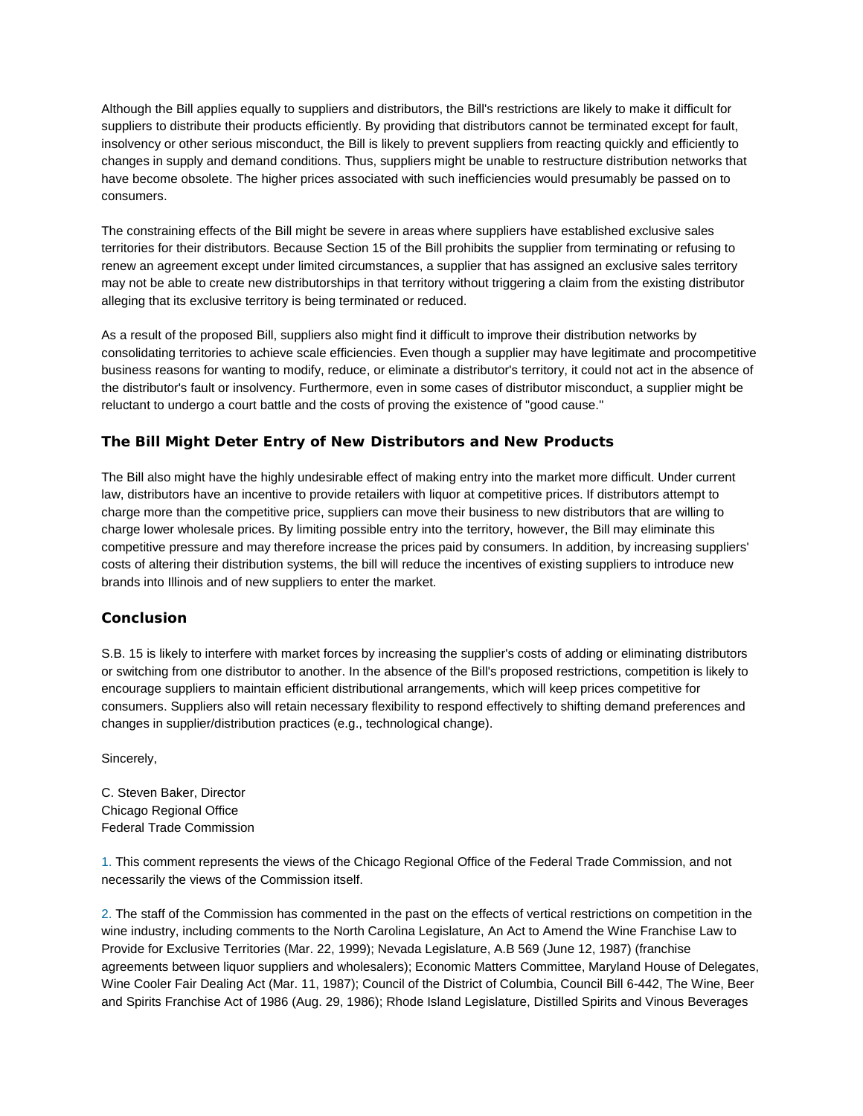Although the Bill applies equally to suppliers and distributors, the Bill's restrictions are likely to make it difficult for suppliers to distribute their products efficiently. By providing that distributors cannot be terminated except for fault, insolvency or other serious misconduct, the Bill is likely to prevent suppliers from reacting quickly and efficiently to changes in supply and demand conditions. Thus, suppliers might be unable to restructure distribution networks that have become obsolete. The higher prices associated with such inefficiencies would presumably be passed on to consumers.

The constraining effects of the Bill might be severe in areas where suppliers have established exclusive sales territories for their distributors. Because Section 15 of the Bill prohibits the supplier from terminating or refusing to renew an agreement except under limited circumstances, a supplier that has assigned an exclusive sales territory may not be able to create new distributorships in that territory without triggering a claim from the existing distributor alleging that its exclusive territory is being terminated or reduced.

As a result of the proposed Bill, suppliers also might find it difficult to improve their distribution networks by consolidating territories to achieve scale efficiencies. Even though a supplier may have legitimate and procompetitive business reasons for wanting to modify, reduce, or eliminate a distributor's territory, it could not act in the absence of the distributor's fault or insolvency. Furthermore, even in some cases of distributor misconduct, a supplier might be reluctant to undergo a court battle and the costs of proving the existence of "good cause."

## **The Bill Might Deter Entry of New Distributors and New Products**

The Bill also might have the highly undesirable effect of making entry into the market more difficult. Under current law, distributors have an incentive to provide retailers with liquor at competitive prices. If distributors attempt to charge more than the competitive price, suppliers can move their business to new distributors that are willing to charge lower wholesale prices. By limiting possible entry into the territory, however, the Bill may eliminate this competitive pressure and may therefore increase the prices paid by consumers. In addition, by increasing suppliers' costs of altering their distribution systems, the bill will reduce the incentives of existing suppliers to introduce new brands into Illinois and of new suppliers to enter the market.

## **Conclusion**

S.B. 15 is likely to interfere with market forces by increasing the supplier's costs of adding or eliminating distributors or switching from one distributor to another. In the absence of the Bill's proposed restrictions, competition is likely to encourage suppliers to maintain efficient distributional arrangements, which will keep prices competitive for consumers. Suppliers also will retain necessary flexibility to respond effectively to shifting demand preferences and changes in supplier/distribution practices (e.g., technological change).

Sincerely,

C. Steven Baker, Director Chicago Regional Office Federal Trade Commission

1. This comment represents the views of the Chicago Regional Office of the Federal Trade Commission, and not necessarily the views of the Commission itself.

2. The staff of the Commission has commented in the past on the effects of vertical restrictions on competition in the wine industry, including comments to the North Carolina Legislature, An Act to Amend the Wine Franchise Law to Provide for Exclusive Territories (Mar. 22, 1999); Nevada Legislature, A.B 569 (June 12, 1987) (franchise agreements between liquor suppliers and wholesalers); Economic Matters Committee, Maryland House of Delegates, Wine Cooler Fair Dealing Act (Mar. 11, 1987); Council of the District of Columbia, Council Bill 6-442, The Wine, Beer and Spirits Franchise Act of 1986 (Aug. 29, 1986); Rhode Island Legislature, Distilled Spirits and Vinous Beverages